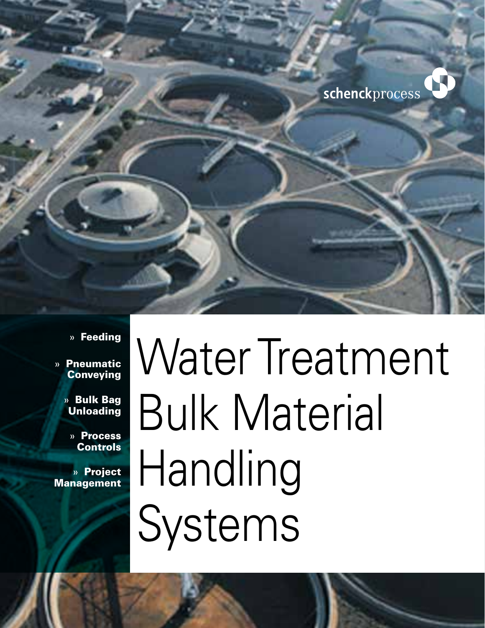

#### » Feeding

- » Pneumatic **Conveying** 
	- » Bulk Bag Unloading
		- » Process Controls

» Project **Management** 

# Water Treatment Bulk Material Handling Systems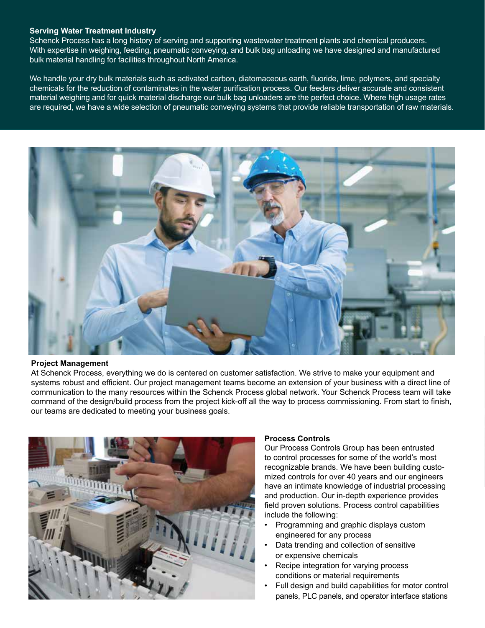#### **Serving Water Treatment Industry**

Schenck Process has a long history of serving and supporting wastewater treatment plants and chemical producers. With expertise in weighing, feeding, pneumatic conveying, and bulk bag unloading we have designed and manufactured bulk material handling for facilities throughout North America.

We handle your dry bulk materials such as activated carbon, diatomaceous earth, fluoride, lime, polymers, and specialty chemicals for the reduction of contaminates in the water purification process. Our feeders deliver accurate and consistent material weighing and for quick material discharge our bulk bag unloaders are the perfect choice. Where high usage rates are required, we have a wide selection of pneumatic conveying systems that provide reliable transportation of raw materials.



#### **Project Management**

At Schenck Process, everything we do is centered on customer satisfaction. We strive to make your equipment and systems robust and efficient. Our project management teams become an extension of your business with a direct line of communication to the many resources within the Schenck Process global network. Your Schenck Process team will take command of the design/build process from the project kick-off all the way to process commissioning. From start to finish, our teams are dedicated to meeting your business goals.



#### **Process Controls**

Our Process Controls Group has been entrusted to control processes for some of the world's most recognizable brands. We have been building customized controls for over 40 years and our engineers have an intimate knowledge of industrial processing and production. Our in-depth experience provides field proven solutions. Process control capabilities include the following:

- Programming and graphic displays custom engineered for any process
- Data trending and collection of sensitive or expensive chemicals
- Recipe integration for varying process conditions or material requirements
- Full design and build capabilities for motor control panels, PLC panels, and operator interface stations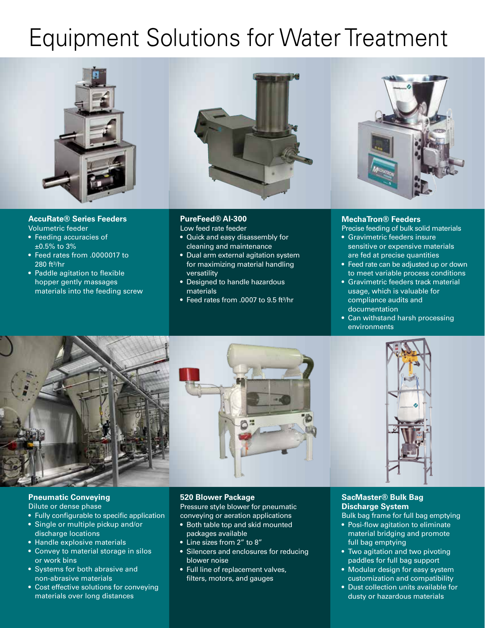### Equipment Solutions for Water Treatment



**AccuRate® Series Feeders** Volumetric feeder

- Feeding accuracies of  $±0.5\%$  to 3%
- Feed rates from .0000017 to 280 ft³/hr
- Paddle agitation to flexible hopper gently massages materials into the feeding screw



#### **PureFeed® AI-300**

Low feed rate feeder

- Quick and easy disassembly for cleaning and maintenance
- Dual arm external agitation system for maximizing material handling versatility
- Designed to handle hazardous materials
- Feed rates from .0007 to 9.5 ft<sup>3</sup>/hr



#### **MechaTron® Feeders**

Precise feeding of bulk solid materials

- Gravimetric feeders insure sensitive or expensive materials are fed at precise quantities
- Feed rate can be adjusted up or down to meet variable process conditions
- **Gravimetric feeders track material** usage, which is valuable for compliance audits and documentation
- Can withstand harsh processing environments



#### **Pneumatic Conveying**

#### Dilute or dense phase

- Fully configurable to specific application
- Single or multiple pickup and/or discharge locations
- Handle explosive materials
- Convey to material storage in silos or work bins
- Systems for both abrasive and non-abrasive materials
- Cost effective solutions for conveying materials over long distances

#### **520 Blower Package**

Pressure style blower for pneumatic conveying or aeration applications

- Both table top and skid mounted packages available
- Line sizes from 2" to 8"
- Silencers and enclosures for reducing blower noise
- Full line of replacement valves, filters, motors, and gauges

#### **SacMaster® Bulk Bag Discharge System**

Bulk bag frame for full bag emptying

- Posi-flow agitation to eliminate material bridging and promote full bag emptying
- Two agitation and two pivoting paddles for full bag support
- Modular design for easy system customization and compatibility
- Dust collection units available for dusty or hazardous materials